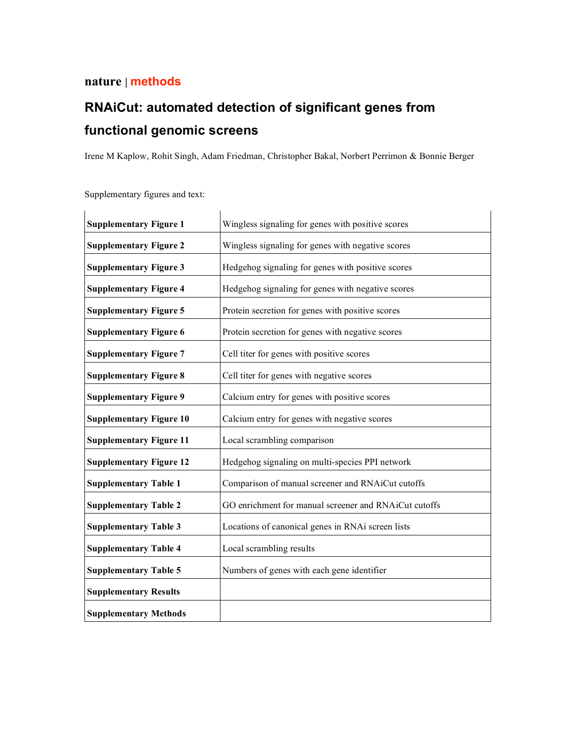# **nature | methods**

# **RNAiCut: automated detection of significant genes from functional genomic screens**

Irene M Kaplow, Rohit Singh, Adam Friedman, Christopher Bakal, Norbert Perrimon & Bonnie Berger

| <b>Supplementary Figure 1</b>  | Wingless signaling for genes with positive scores     |
|--------------------------------|-------------------------------------------------------|
| <b>Supplementary Figure 2</b>  | Wingless signaling for genes with negative scores     |
| <b>Supplementary Figure 3</b>  | Hedgehog signaling for genes with positive scores     |
| <b>Supplementary Figure 4</b>  | Hedgehog signaling for genes with negative scores     |
| <b>Supplementary Figure 5</b>  | Protein secretion for genes with positive scores      |
| <b>Supplementary Figure 6</b>  | Protein secretion for genes with negative scores      |
| <b>Supplementary Figure 7</b>  | Cell titer for genes with positive scores             |
| <b>Supplementary Figure 8</b>  | Cell titer for genes with negative scores             |
| <b>Supplementary Figure 9</b>  | Calcium entry for genes with positive scores          |
| <b>Supplementary Figure 10</b> | Calcium entry for genes with negative scores          |
| <b>Supplementary Figure 11</b> | Local scrambling comparison                           |
| <b>Supplementary Figure 12</b> | Hedgehog signaling on multi-species PPI network       |
| <b>Supplementary Table 1</b>   | Comparison of manual screener and RNAiCut cutoffs     |
| <b>Supplementary Table 2</b>   | GO enrichment for manual screener and RNAiCut cutoffs |
| <b>Supplementary Table 3</b>   | Locations of canonical genes in RNAi screen lists     |
| <b>Supplementary Table 4</b>   | Local scrambling results                              |
| <b>Supplementary Table 5</b>   | Numbers of genes with each gene identifier            |
| <b>Supplementary Results</b>   |                                                       |
| <b>Supplementary Methods</b>   |                                                       |

Supplementary figures and text: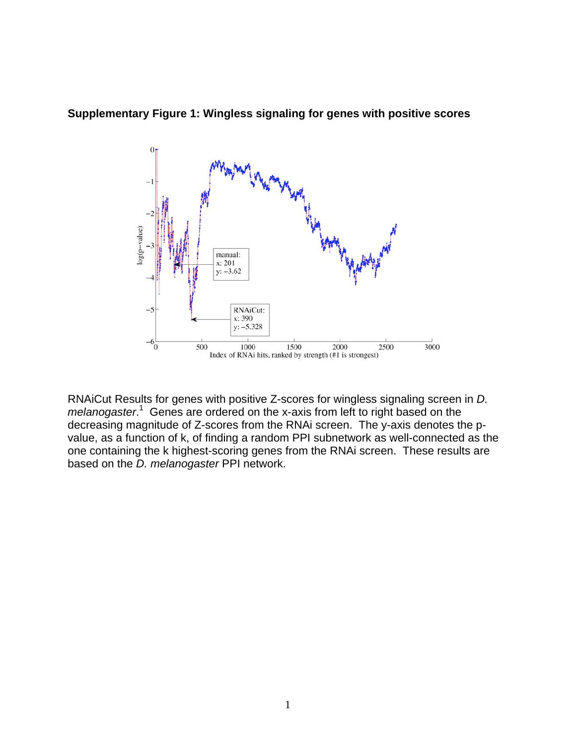

**Supplementary Figure 1: Wingless signaling for genes with positive scores**

RNAiCut Results for genes with positive Z-scores for wingless signaling screen in *D.*  melanogaster.<sup>1</sup> Genes are ordered on the x-axis from left to right based on the decreasing magnitude of Z-scores from the RNAi screen. The y-axis denotes the pvalue, as a function of k, of finding a random PPI subnetwork as well-connected as the one containing the k highest-scoring genes from the RNAi screen. These results are based on the *D. melanogaster* PPI network.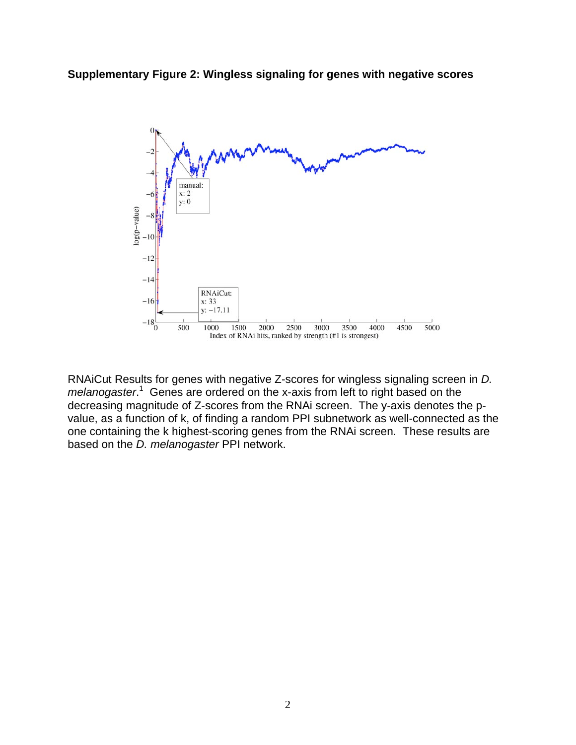



RNAiCut Results for genes with negative Z-scores for wingless signaling screen in *D.*  melanogaster.<sup>1</sup> Genes are ordered on the x-axis from left to right based on the decreasing magnitude of Z-scores from the RNAi screen. The y-axis denotes the pvalue, as a function of k, of finding a random PPI subnetwork as well-connected as the one containing the k highest-scoring genes from the RNAi screen. These results are based on the *D. melanogaster* PPI network.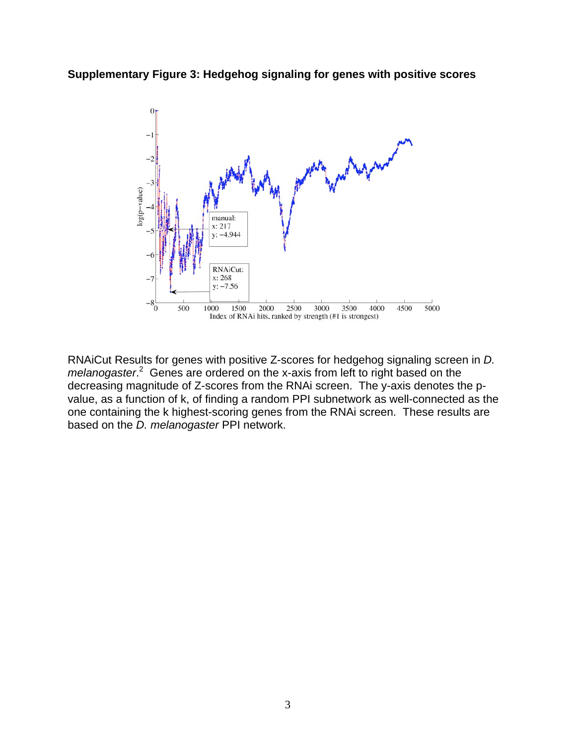**Supplementary Figure 3: Hedgehog signaling for genes with positive scores**



RNAiCut Results for genes with positive Z-scores for hedgehog signaling screen in *D.*  melanogaster.<sup>2</sup> Genes are ordered on the x-axis from left to right based on the decreasing magnitude of Z-scores from the RNAi screen. The y-axis denotes the pvalue, as a function of k, of finding a random PPI subnetwork as well-connected as the one containing the k highest-scoring genes from the RNAi screen. These results are based on the *D. melanogaster* PPI network.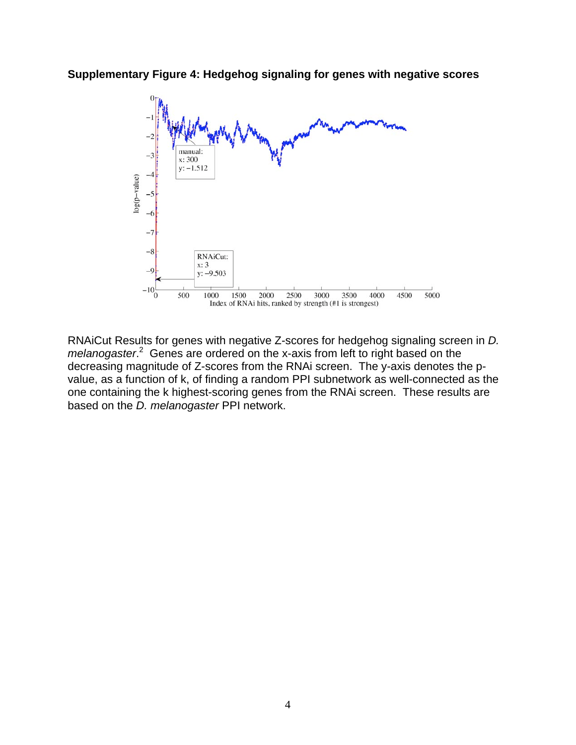



RNAiCut Results for genes with negative Z-scores for hedgehog signaling screen in *D. melanogaster*. 2 Genes are ordered on the x-axis from left to right based on the decreasing magnitude of Z-scores from the RNAi screen. The y-axis denotes the pvalue, as a function of k, of finding a random PPI subnetwork as well-connected as the one containing the k highest-scoring genes from the RNAi screen. These results are based on the *D. melanogaster* PPI network.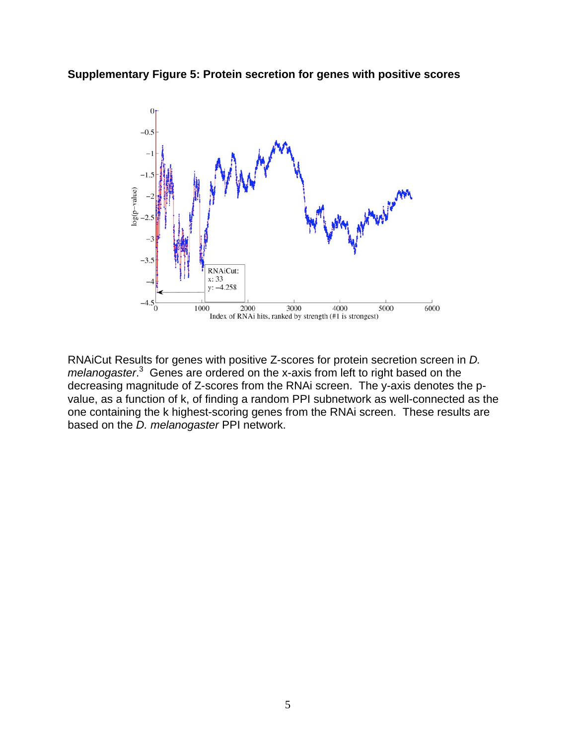



RNAiCut Results for genes with positive Z-scores for protein secretion screen in *D. melanogaster*. 3 Genes are ordered on the x-axis from left to right based on the decreasing magnitude of Z-scores from the RNAi screen. The y-axis denotes the pvalue, as a function of k, of finding a random PPI subnetwork as well-connected as the one containing the k highest-scoring genes from the RNAi screen. These results are based on the *D. melanogaster* PPI network.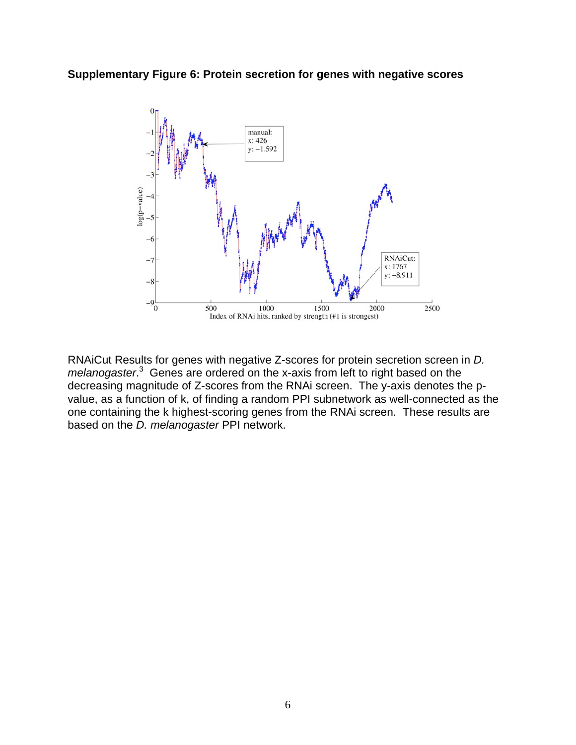**Supplementary Figure 6: Protein secretion for genes with negative scores**



RNAiCut Results for genes with negative Z-scores for protein secretion screen in *D. melanogaster*. 3 Genes are ordered on the x-axis from left to right based on the decreasing magnitude of Z-scores from the RNAi screen. The y-axis denotes the pvalue, as a function of k, of finding a random PPI subnetwork as well-connected as the one containing the k highest-scoring genes from the RNAi screen. These results are based on the *D. melanogaster* PPI network.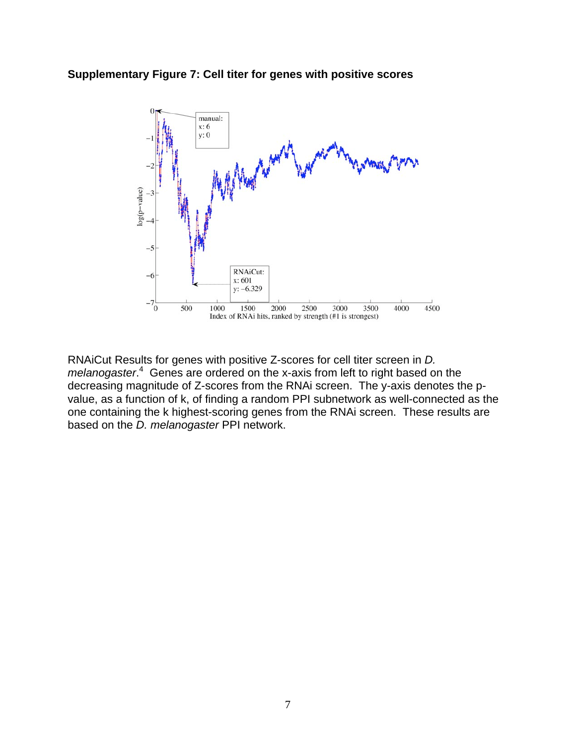

**Supplementary Figure 7: Cell titer for genes with positive scores**

RNAiCut Results for genes with positive Z-scores for cell titer screen in *D. melanogaster*. 4 Genes are ordered on the x-axis from left to right based on the decreasing magnitude of Z-scores from the RNAi screen. The y-axis denotes the pvalue, as a function of k, of finding a random PPI subnetwork as well-connected as the one containing the k highest-scoring genes from the RNAi screen. These results are based on the *D. melanogaster* PPI network.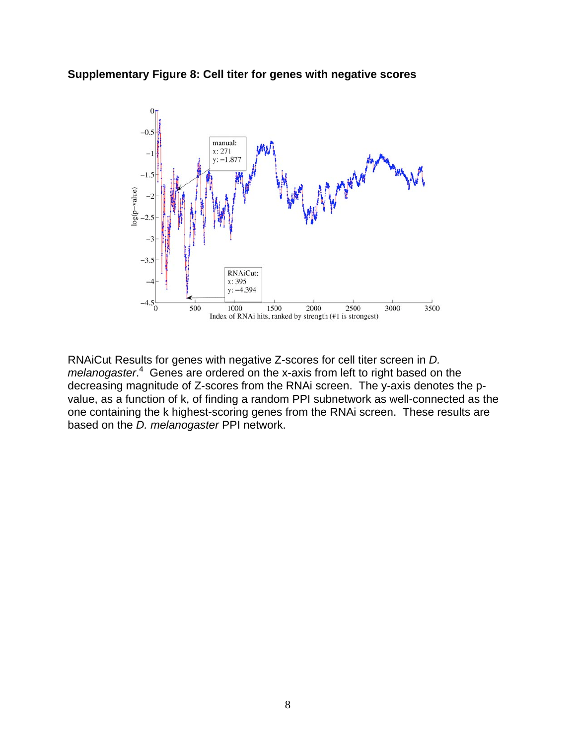## **Supplementary Figure 8: Cell titer for genes with negative scores**



RNAiCut Results for genes with negative Z-scores for cell titer screen in *D.*  melanogaster.<sup>4</sup> Genes are ordered on the x-axis from left to right based on the decreasing magnitude of Z-scores from the RNAi screen. The y-axis denotes the pvalue, as a function of k, of finding a random PPI subnetwork as well-connected as the one containing the k highest-scoring genes from the RNAi screen. These results are based on the *D. melanogaster* PPI network.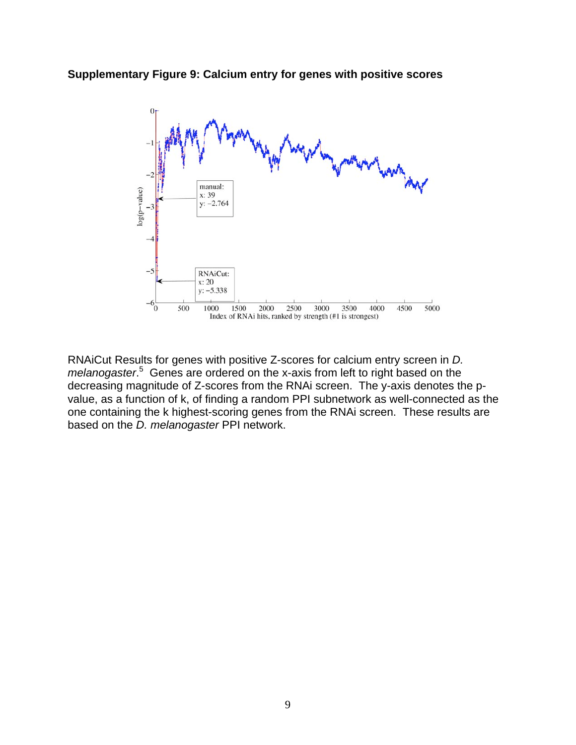**Supplementary Figure 9: Calcium entry for genes with positive scores**



RNAiCut Results for genes with positive Z-scores for calcium entry screen in *D. melanogaster*. 5 Genes are ordered on the x-axis from left to right based on the decreasing magnitude of Z-scores from the RNAi screen. The y-axis denotes the pvalue, as a function of k, of finding a random PPI subnetwork as well-connected as the one containing the k highest-scoring genes from the RNAi screen. These results are based on the *D. melanogaster* PPI network.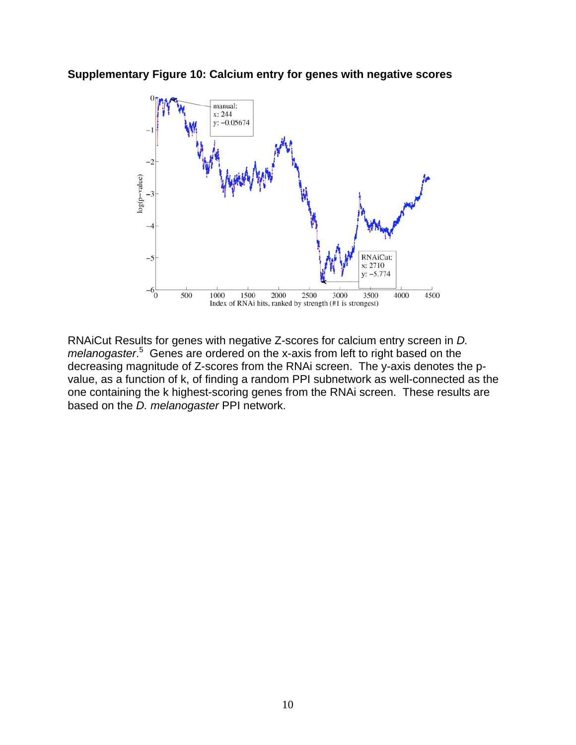

**Supplementary Figure 10: Calcium entry for genes with negative scores**

RNAiCut Results for genes with negative Z-scores for calcium entry screen in *D. melanogaster*. 5 Genes are ordered on the x-axis from left to right based on the decreasing magnitude of Z-scores from the RNAi screen. The y-axis denotes the pvalue, as a function of k, of finding a random PPI subnetwork as well-connected as the one containing the k highest-scoring genes from the RNAi screen. These results are based on the *D. melanogaster* PPI network.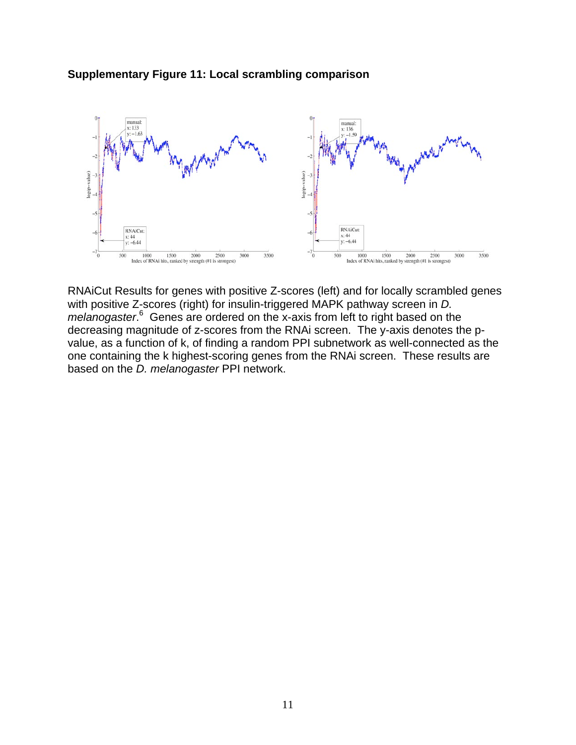



RNAiCut Results for genes with positive Z-scores (left) and for locally scrambled genes with positive Z-scores (right) for insulin-triggered MAPK pathway screen in *D.*  melanogaster.<sup>6</sup> Genes are ordered on the x-axis from left to right based on the decreasing magnitude of z-scores from the RNAi screen. The y-axis denotes the pvalue, as a function of k, of finding a random PPI subnetwork as well-connected as the one containing the k highest-scoring genes from the RNAi screen. These results are based on the *D. melanogaster* PPI network.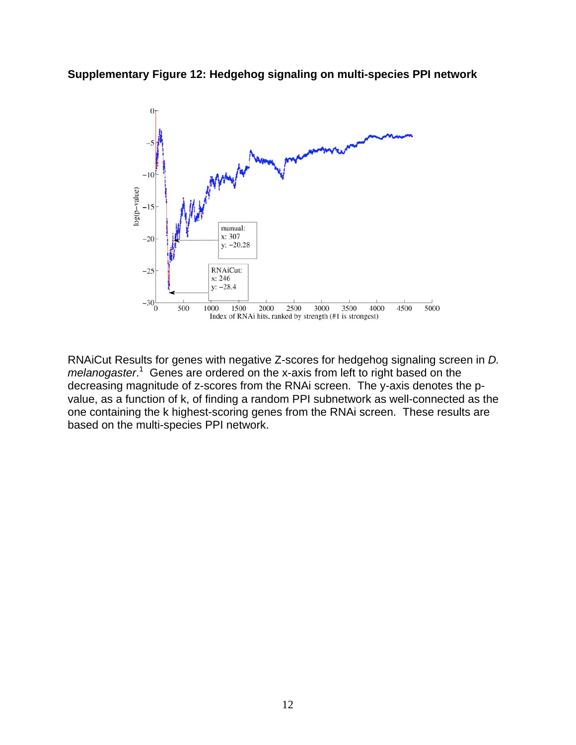



RNAiCut Results for genes with negative Z-scores for hedgehog signaling screen in *D.*  melanogaster.<sup>1</sup> Genes are ordered on the x-axis from left to right based on the decreasing magnitude of z-scores from the RNAi screen. The y-axis denotes the pvalue, as a function of k, of finding a random PPI subnetwork as well-connected as the one containing the k highest-scoring genes from the RNAi screen. These results are based on the multi-species PPI network.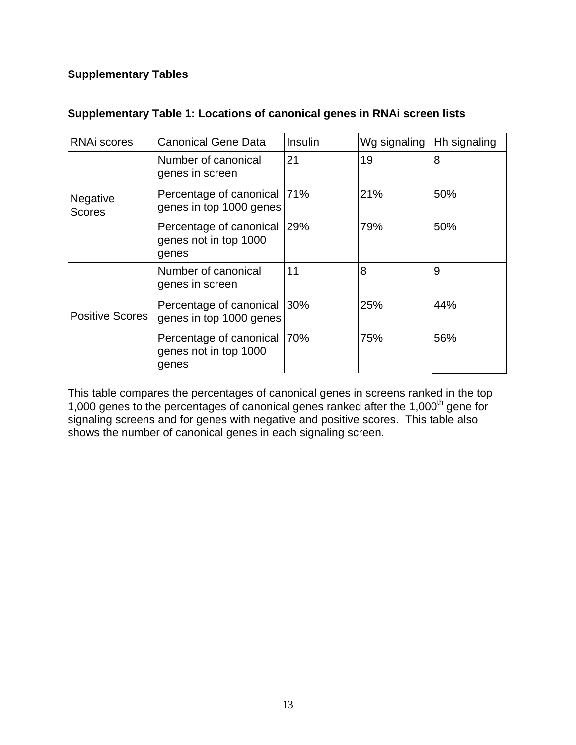# **Supplementary Tables**

| <b>RNAi scores</b>               | <b>Canonical Gene Data</b>                                      | Insulin | Wg signaling | Hh signaling |  |
|----------------------------------|-----------------------------------------------------------------|---------|--------------|--------------|--|
| <b>Negative</b><br><b>Scores</b> | Number of canonical<br>genes in screen                          | 21      | 19           | 8            |  |
|                                  | Percentage of canonical<br>genes in top 1000 genes              | 71%     | 21%          | 50%          |  |
|                                  | Percentage of canonical<br>genes not in top 1000<br>genes       | 29%     | 79%          | 50%          |  |
| <b>Positive Scores</b>           | Number of canonical<br>genes in screen                          | 11      | 8            | 9            |  |
|                                  | Percentage of canonical<br>genes in top 1000 genes              | 30%     | 25%          | 44%          |  |
|                                  | Percentage of canonical   70%<br>genes not in top 1000<br>genes |         | 75%          | 56%          |  |

## **Supplementary Table 1: Locations of canonical genes in RNAi screen lists**

This table compares the percentages of canonical genes in screens ranked in the top 1,000 genes to the percentages of canonical genes ranked after the 1,000<sup>th</sup> gene for signaling screens and for genes with negative and positive scores. This table also shows the number of canonical genes in each signaling screen.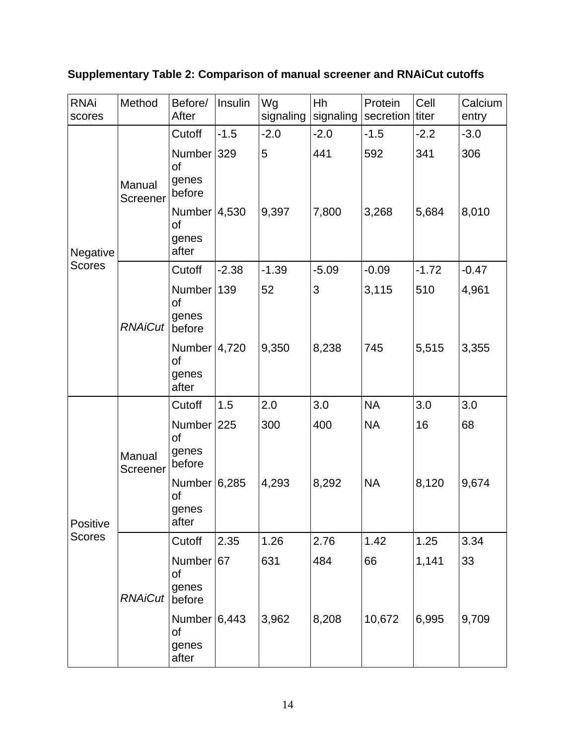# **Supplementary Table 2: Comparison of manual screener and RNAiCut cutoffs**

| <b>RNAi</b><br>scores | Method             | Before/<br>After                        | Insulin | Wg<br>signaling | Hh<br>signaling | Protein<br>secretion | Cell<br>titer | Calcium<br>entry |
|-----------------------|--------------------|-----------------------------------------|---------|-----------------|-----------------|----------------------|---------------|------------------|
|                       |                    | Cutoff                                  | $-1.5$  | $-2.0$          | $-2.0$          | $-1.5$               | $-2.2$        | $-3.0$           |
| Negative              | Manual<br>Screener | Number 329<br>of<br>genes<br>before     |         | 5               | 441             | 592                  | 341           | 306              |
|                       |                    | Number $ 4,530$<br>of<br>genes<br>after |         | 9,397           | 7,800           | 3,268                | 5,684         | 8,010            |
| <b>Scores</b>         |                    | Cutoff                                  | $-2.38$ | $-1.39$         | $-5.09$         | $-0.09$              | $-1.72$       | $-0.47$          |
|                       | <b>RNAiCut</b>     | Number<br>of<br>genes<br>before         | 139     | 52              | 3               | 3,115                | 510           | 4,961            |
|                       |                    | Number $4,720$<br>of<br>genes<br>after  |         | 9,350           | 8,238           | 745                  | 5,515         | 3,355            |
|                       |                    | Cutoff                                  | 1.5     | 2.0             | 3.0             | <b>NA</b>            | 3.0           | 3.0              |
| Positive              | Manual<br>Screener | Number 225<br>of<br>genes<br>before     |         | 300             | 400             | <b>NA</b>            | 16            | 68               |
|                       |                    | Number 6,285<br>of<br>genes<br>after    |         | 4,293           | 8,292           | <b>NA</b>            | 8,120         | 9,674            |
| <b>Scores</b>         | <b>RNAiCut</b>     | Cutoff                                  | 2.35    | 1.26            | 2.76            | 1.42                 | 1.25          | 3.34             |
|                       |                    | Number 67<br>of<br>genes<br>before      |         | 631             | 484             | 66                   | 1,141         | 33               |
|                       |                    | Number $6,443$<br>of<br>genes<br>after  |         | 3,962           | 8,208           | 10,672               | 6,995         | 9,709            |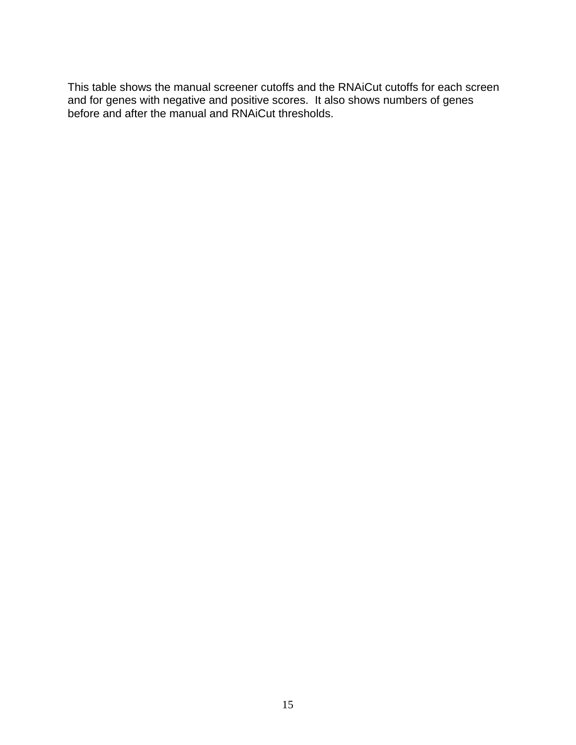This table shows the manual screener cutoffs and the RNAiCut cutoffs for each screen and for genes with negative and positive scores. It also shows numbers of genes before and after the manual and RNAiCut thresholds.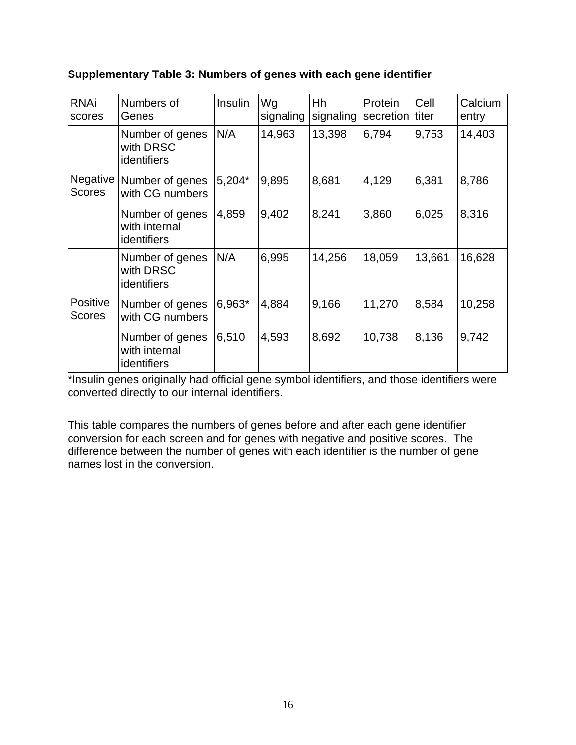| <b>RNAi</b><br>scores            | Numbers of<br>Genes                             | <b>Insulin</b> | Wg<br>signaling | Hh<br>signaling | Protein<br>secretion | Cell<br>titer | Calcium<br>entry |
|----------------------------------|-------------------------------------------------|----------------|-----------------|-----------------|----------------------|---------------|------------------|
|                                  | Number of genes<br>with DRSC<br>identifiers     | N/A            | 14,963          | 13,398          | 6,794                | 9,753         | 14,403           |
| Negative<br><b>Scores</b>        | Number of genes<br>with CG numbers              | 5,204*         | 9,895           | 8,681           | 4,129                | 6,381         | 8,786            |
|                                  | Number of genes<br>with internal<br>identifiers | 4,859          | 9,402           | 8,241           | 3,860                | 6,025         | 8,316            |
|                                  | Number of genes<br>with DRSC<br>identifiers     | N/A            | 6,995           | 14,256          | 18,059               | 13,661        | 16,628           |
| <b>Positive</b><br><b>Scores</b> | Number of genes<br>with CG numbers              | 6,963*         | 4,884           | 9,166           | 11,270               | 8,584         | 10,258           |
|                                  | Number of genes<br>with internal<br>identifiers | 6,510          | 4,593           | 8,692           | 10,738               | 8,136         | 9,742            |

# **Supplementary Table 3: Numbers of genes with each gene identifier**

\*Insulin genes originally had official gene symbol identifiers, and those identifiers were converted directly to our internal identifiers.

This table compares the numbers of genes before and after each gene identifier conversion for each screen and for genes with negative and positive scores. The difference between the number of genes with each identifier is the number of gene names lost in the conversion.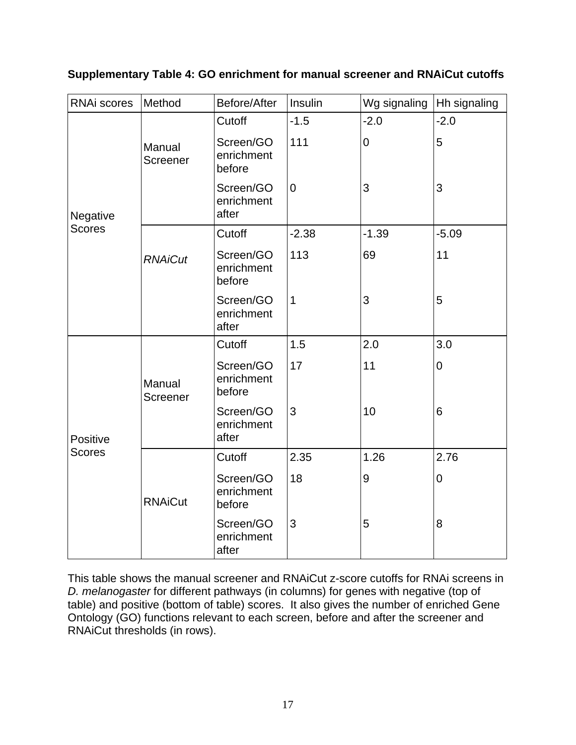| <b>RNAi scores</b> | Method             | Before/After                      | Insulin          | Wg signaling   | Hh signaling |
|--------------------|--------------------|-----------------------------------|------------------|----------------|--------------|
| Negative           |                    | Cutoff                            | $-1.5$           | $-2.0$         | $-2.0$       |
|                    | Manual<br>Screener | Screen/GO<br>enrichment<br>before | 111              | $\overline{0}$ | 5            |
|                    |                    | Screen/GO<br>enrichment<br>after  | $\boldsymbol{0}$ | 3              | 3            |
| <b>Scores</b>      |                    | Cutoff                            | $-2.38$          | $-1.39$        | $-5.09$      |
|                    | <b>RNAiCut</b>     | Screen/GO<br>enrichment<br>before | 113              | 69             | 11           |
|                    |                    | Screen/GO<br>enrichment<br>after  | $\mathbf 1$      | 3              | 5            |
| Positive           |                    | Cutoff                            | 1.5              | 2.0            | 3.0          |
|                    | Manual<br>Screener | Screen/GO<br>enrichment<br>before | 17               | 11             | $\mathbf 0$  |
|                    |                    | Screen/GO<br>enrichment<br>after  | 3                | 10             | 6            |
| <b>Scores</b>      |                    | Cutoff                            | 2.35             | 1.26           | 2.76         |
|                    | <b>RNAiCut</b>     | Screen/GO<br>enrichment<br>before | 18               | 9              | $\mathbf 0$  |
|                    |                    | Screen/GO<br>enrichment<br>after  | 3                | 5              | 8            |

**Supplementary Table 4: GO enrichment for manual screener and RNAiCut cutoffs** 

This table shows the manual screener and RNAiCut z-score cutoffs for RNAi screens in *D. melanogaster* for different pathways (in columns) for genes with negative (top of table) and positive (bottom of table) scores. It also gives the number of enriched Gene Ontology (GO) functions relevant to each screen, before and after the screener and RNAiCut thresholds (in rows).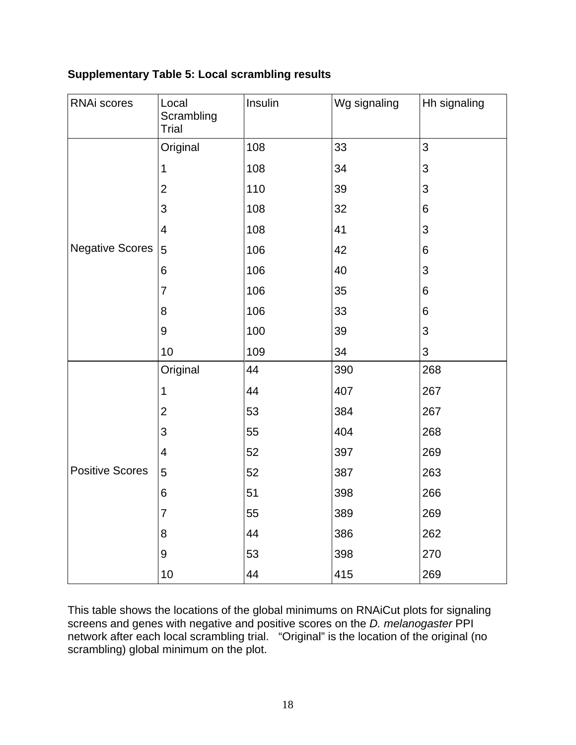# **Supplementary Table 5: Local scrambling results**

| RNAi scores            | Local<br>Scrambling<br><b>Trial</b> | Insulin | Wg signaling | Hh signaling |
|------------------------|-------------------------------------|---------|--------------|--------------|
|                        | Original                            | 108     | 33           | 3            |
|                        | 1                                   | 108     | 34           | 3            |
|                        | $\overline{2}$                      | 110     | 39           | 3            |
|                        | 3                                   | 108     | 32           | 6            |
|                        | 4                                   | 108     | 41           | 3            |
| <b>Negative Scores</b> | 5                                   | 106     | 42           | $\,6$        |
|                        | $\,6$                               | 106     | 40           | 3            |
|                        | $\overline{7}$                      | 106     | 35           | 6            |
|                        | 8                                   | 106     | 33           | 6            |
|                        | 9                                   | 100     | 39           | 3            |
|                        | 10                                  | 109     | 34           | 3            |
|                        | Original                            | 44      | 390          | 268          |
|                        | 1                                   | 44      | 407          | 267          |
|                        | $\overline{2}$                      | 53      | 384          | 267          |
|                        | 3                                   | 55      | 404          | 268          |
|                        | $\overline{\mathcal{A}}$            | 52      | 397          | 269          |
| <b>Positive Scores</b> | 5                                   | 52      | 387          | 263          |
|                        | $\,6$                               | 51      | 398          | 266          |
|                        | $\overline{7}$                      | 55      | 389          | 269          |
|                        | 8                                   | 44      | 386          | 262          |
|                        | 9                                   | 53      | 398          | 270          |
|                        | 10                                  | 44      | 415          | 269          |

This table shows the locations of the global minimums on RNAiCut plots for signaling screens and genes with negative and positive scores on the *D. melanogaster* PPI network after each local scrambling trial. "Original" is the location of the original (no scrambling) global minimum on the plot.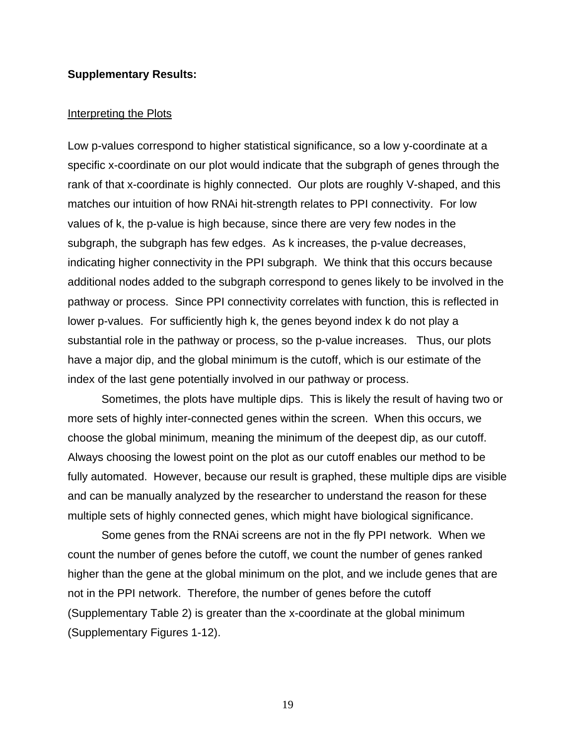#### **Supplementary Results:**

#### Interpreting the Plots

Low p-values correspond to higher statistical significance, so a low y-coordinate at a specific x-coordinate on our plot would indicate that the subgraph of genes through the rank of that x-coordinate is highly connected. Our plots are roughly V-shaped, and this matches our intuition of how RNAi hit-strength relates to PPI connectivity. For low values of k, the p-value is high because, since there are very few nodes in the subgraph, the subgraph has few edges. As k increases, the p-value decreases, indicating higher connectivity in the PPI subgraph. We think that this occurs because additional nodes added to the subgraph correspond to genes likely to be involved in the pathway or process. Since PPI connectivity correlates with function, this is reflected in lower p-values. For sufficiently high k, the genes beyond index k do not play a substantial role in the pathway or process, so the p-value increases. Thus, our plots have a major dip, and the global minimum is the cutoff, which is our estimate of the index of the last gene potentially involved in our pathway or process.

Sometimes, the plots have multiple dips. This is likely the result of having two or more sets of highly inter-connected genes within the screen. When this occurs, we choose the global minimum, meaning the minimum of the deepest dip, as our cutoff. Always choosing the lowest point on the plot as our cutoff enables our method to be fully automated. However, because our result is graphed, these multiple dips are visible and can be manually analyzed by the researcher to understand the reason for these multiple sets of highly connected genes, which might have biological significance.

Some genes from the RNAi screens are not in the fly PPI network. When we count the number of genes before the cutoff, we count the number of genes ranked higher than the gene at the global minimum on the plot, and we include genes that are not in the PPI network. Therefore, the number of genes before the cutoff (Supplementary Table 2) is greater than the x-coordinate at the global minimum (Supplementary Figures 1-12).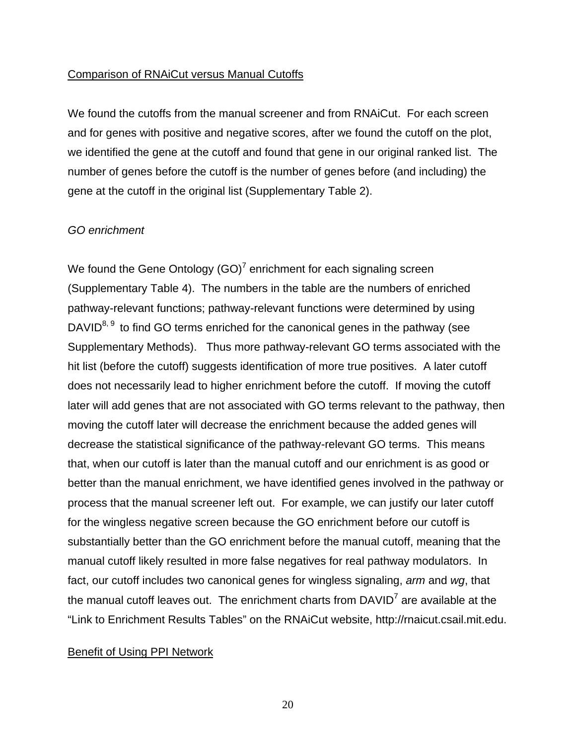#### Comparison of RNAiCut versus Manual Cutoffs

We found the cutoffs from the manual screener and from RNAiCut. For each screen and for genes with positive and negative scores, after we found the cutoff on the plot, we identified the gene at the cutoff and found that gene in our original ranked list. The number of genes before the cutoff is the number of genes before (and including) the gene at the cutoff in the original list (Supplementary Table 2).

#### *GO enrichment*

We found the Gene Ontology (GO)<sup>7</sup> enrichment for each signaling screen (Supplementary Table 4). The numbers in the table are the numbers of enriched pathway-relevant functions; pathway-relevant functions were determined by using DAVID $^{8, 9}$  to find GO terms enriched for the canonical genes in the pathway (see Supplementary Methods). Thus more pathway-relevant GO terms associated with the hit list (before the cutoff) suggests identification of more true positives. A later cutoff does not necessarily lead to higher enrichment before the cutoff. If moving the cutoff later will add genes that are not associated with GO terms relevant to the pathway, then moving the cutoff later will decrease the enrichment because the added genes will decrease the statistical significance of the pathway-relevant GO terms. This means that, when our cutoff is later than the manual cutoff and our enrichment is as good or better than the manual enrichment, we have identified genes involved in the pathway or process that the manual screener left out. For example, we can justify our later cutoff for the wingless negative screen because the GO enrichment before our cutoff is substantially better than the GO enrichment before the manual cutoff, meaning that the manual cutoff likely resulted in more false negatives for real pathway modulators. In fact, our cutoff includes two canonical genes for wingless signaling, *arm* and *wg*, that the manual cutoff leaves out. The enrichment charts from DAVID<sup>7</sup> are available at the "Link to Enrichment Results Tables" on the RNAiCut website, http://rnaicut.csail.mit.edu.

#### Benefit of Using PPI Network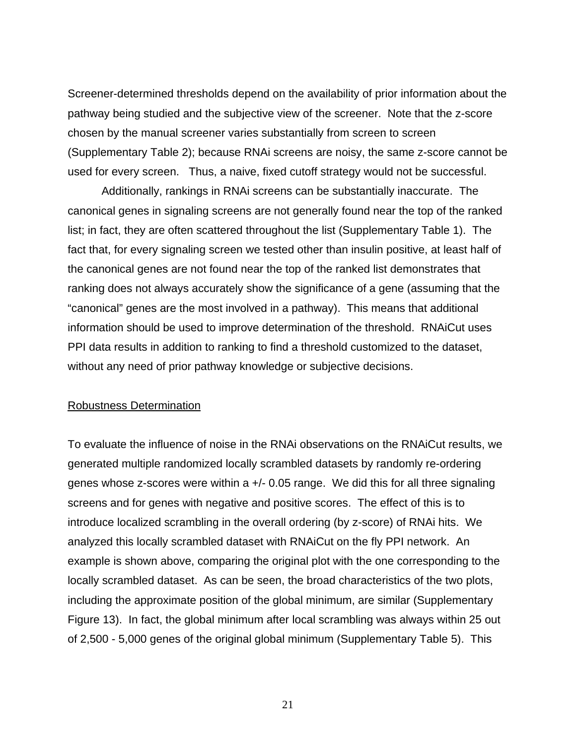Screener-determined thresholds depend on the availability of prior information about the pathway being studied and the subjective view of the screener. Note that the z-score chosen by the manual screener varies substantially from screen to screen (Supplementary Table 2); because RNAi screens are noisy, the same z-score cannot be used for every screen. Thus, a naive, fixed cutoff strategy would not be successful.

Additionally, rankings in RNAi screens can be substantially inaccurate. The canonical genes in signaling screens are not generally found near the top of the ranked list; in fact, they are often scattered throughout the list (Supplementary Table 1). The fact that, for every signaling screen we tested other than insulin positive, at least half of the canonical genes are not found near the top of the ranked list demonstrates that ranking does not always accurately show the significance of a gene (assuming that the "canonical" genes are the most involved in a pathway). This means that additional information should be used to improve determination of the threshold. RNAiCut uses PPI data results in addition to ranking to find a threshold customized to the dataset, without any need of prior pathway knowledge or subjective decisions.

#### Robustness Determination

To evaluate the influence of noise in the RNAi observations on the RNAiCut results, we generated multiple randomized locally scrambled datasets by randomly re-ordering genes whose z-scores were within a +/- 0.05 range. We did this for all three signaling screens and for genes with negative and positive scores. The effect of this is to introduce localized scrambling in the overall ordering (by z-score) of RNAi hits. We analyzed this locally scrambled dataset with RNAiCut on the fly PPI network. An example is shown above, comparing the original plot with the one corresponding to the locally scrambled dataset. As can be seen, the broad characteristics of the two plots, including the approximate position of the global minimum, are similar (Supplementary Figure 13). In fact, the global minimum after local scrambling was always within 25 out of 2,500 - 5,000 genes of the original global minimum (Supplementary Table 5). This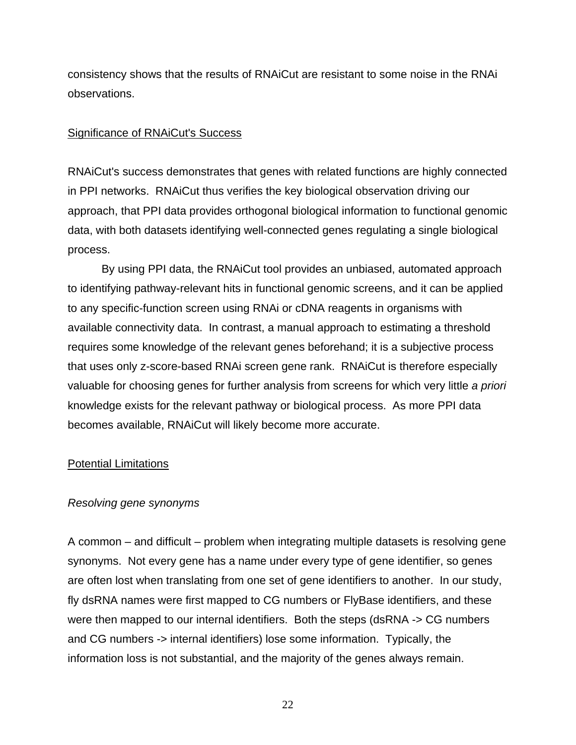consistency shows that the results of RNAiCut are resistant to some noise in the RNAi observations.

### Significance of RNAiCut's Success

RNAiCut's success demonstrates that genes with related functions are highly connected in PPI networks. RNAiCut thus verifies the key biological observation driving our approach, that PPI data provides orthogonal biological information to functional genomic data, with both datasets identifying well-connected genes regulating a single biological process.

By using PPI data, the RNAiCut tool provides an unbiased, automated approach to identifying pathway-relevant hits in functional genomic screens, and it can be applied to any specific-function screen using RNAi or cDNA reagents in organisms with available connectivity data. In contrast, a manual approach to estimating a threshold requires some knowledge of the relevant genes beforehand; it is a subjective process that uses only z-score-based RNAi screen gene rank. RNAiCut is therefore especially valuable for choosing genes for further analysis from screens for which very little *a priori* knowledge exists for the relevant pathway or biological process. As more PPI data becomes available, RNAiCut will likely become more accurate.

## Potential Limitations

## *Resolving gene synonyms*

A common – and difficult – problem when integrating multiple datasets is resolving gene synonyms. Not every gene has a name under every type of gene identifier, so genes are often lost when translating from one set of gene identifiers to another. In our study, fly dsRNA names were first mapped to CG numbers or FlyBase identifiers, and these were then mapped to our internal identifiers. Both the steps (dsRNA -> CG numbers and CG numbers -> internal identifiers) lose some information. Typically, the information loss is not substantial, and the majority of the genes always remain.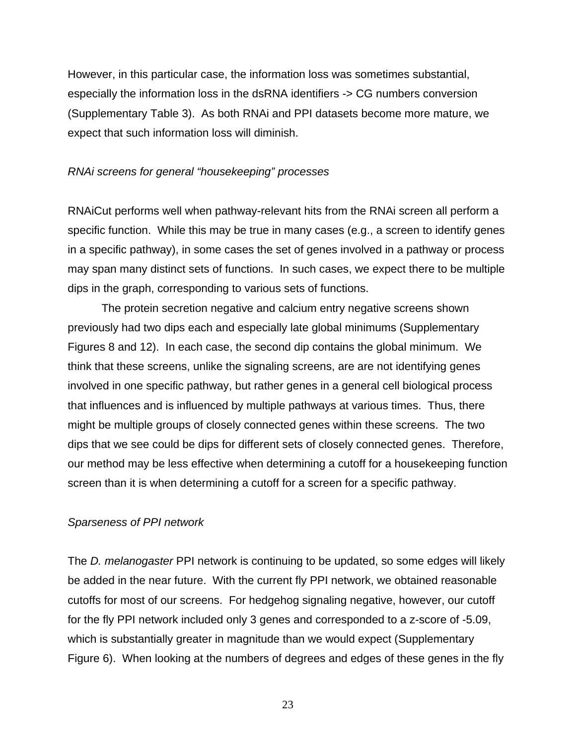However, in this particular case, the information loss was sometimes substantial, especially the information loss in the dsRNA identifiers -> CG numbers conversion (Supplementary Table 3). As both RNAi and PPI datasets become more mature, we expect that such information loss will diminish.

#### *RNAi screens for general "housekeeping" processes*

RNAiCut performs well when pathway-relevant hits from the RNAi screen all perform a specific function. While this may be true in many cases (e.g., a screen to identify genes in a specific pathway), in some cases the set of genes involved in a pathway or process may span many distinct sets of functions. In such cases, we expect there to be multiple dips in the graph, corresponding to various sets of functions.

The protein secretion negative and calcium entry negative screens shown previously had two dips each and especially late global minimums (Supplementary Figures 8 and 12). In each case, the second dip contains the global minimum. We think that these screens, unlike the signaling screens, are are not identifying genes involved in one specific pathway, but rather genes in a general cell biological process that influences and is influenced by multiple pathways at various times. Thus, there might be multiple groups of closely connected genes within these screens. The two dips that we see could be dips for different sets of closely connected genes. Therefore, our method may be less effective when determining a cutoff for a housekeeping function screen than it is when determining a cutoff for a screen for a specific pathway.

#### *Sparseness of PPI network*

The *D. melanogaster* PPI network is continuing to be updated, so some edges will likely be added in the near future. With the current fly PPI network, we obtained reasonable cutoffs for most of our screens. For hedgehog signaling negative, however, our cutoff for the fly PPI network included only 3 genes and corresponded to a z-score of -5.09, which is substantially greater in magnitude than we would expect (Supplementary Figure 6). When looking at the numbers of degrees and edges of these genes in the fly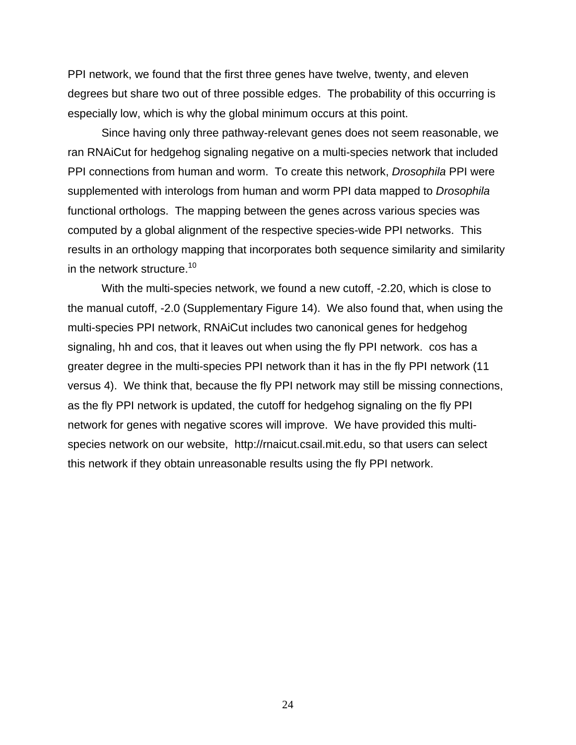PPI network, we found that the first three genes have twelve, twenty, and eleven degrees but share two out of three possible edges. The probability of this occurring is especially low, which is why the global minimum occurs at this point.

Since having only three pathway-relevant genes does not seem reasonable, we ran RNAiCut for hedgehog signaling negative on a multi-species network that included PPI connections from human and worm. To create this network, *Drosophila* PPI were supplemented with interologs from human and worm PPI data mapped to *Drosophila* functional orthologs. The mapping between the genes across various species was computed by a global alignment of the respective species-wide PPI networks. This results in an orthology mapping that incorporates both sequence similarity and similarity in the network structure.<sup>10</sup>

With the multi-species network, we found a new cutoff, -2.20, which is close to the manual cutoff, -2.0 (Supplementary Figure 14). We also found that, when using the multi-species PPI network, RNAiCut includes two canonical genes for hedgehog signaling, hh and cos, that it leaves out when using the fly PPI network. cos has a greater degree in the multi-species PPI network than it has in the fly PPI network (11 versus 4). We think that, because the fly PPI network may still be missing connections, as the fly PPI network is updated, the cutoff for hedgehog signaling on the fly PPI network for genes with negative scores will improve. We have provided this multispecies network on our website, http://rnaicut.csail.mit.edu, so that users can select this network if they obtain unreasonable results using the fly PPI network.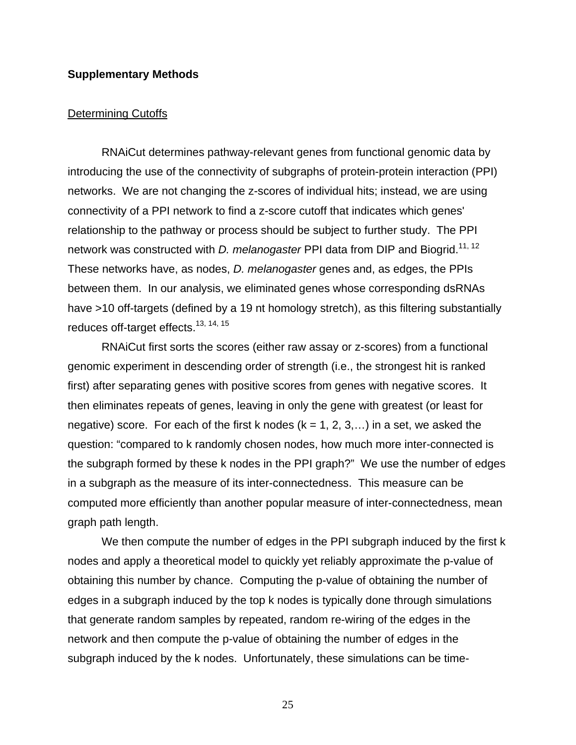### **Supplementary Methods**

#### Determining Cutoffs

RNAiCut determines pathway-relevant genes from functional genomic data by introducing the use of the connectivity of subgraphs of protein-protein interaction (PPI) networks. We are not changing the z-scores of individual hits; instead, we are using connectivity of a PPI network to find a z-score cutoff that indicates which genes' relationship to the pathway or process should be subject to further study. The PPI network was constructed with *D. melanogaster* PPI data from DIP and Biogrid.<sup>11, 12</sup> These networks have, as nodes, *D. melanogaster* genes and, as edges, the PPIs between them. In our analysis, we eliminated genes whose corresponding dsRNAs have >10 off-targets (defined by a 19 nt homology stretch), as this filtering substantially reduces off-target effects.<sup>13, 14, 15</sup>

RNAiCut first sorts the scores (either raw assay or z-scores) from a functional genomic experiment in descending order of strength (i.e., the strongest hit is ranked first) after separating genes with positive scores from genes with negative scores. It then eliminates repeats of genes, leaving in only the gene with greatest (or least for negative) score. For each of the first k nodes  $(k = 1, 2, 3,...)$  in a set, we asked the question: "compared to k randomly chosen nodes, how much more inter-connected is the subgraph formed by these k nodes in the PPI graph?" We use the number of edges in a subgraph as the measure of its inter-connectedness. This measure can be computed more efficiently than another popular measure of inter-connectedness, mean graph path length.

We then compute the number of edges in the PPI subgraph induced by the first k nodes and apply a theoretical model to quickly yet reliably approximate the p-value of obtaining this number by chance. Computing the p-value of obtaining the number of edges in a subgraph induced by the top k nodes is typically done through simulations that generate random samples by repeated, random re-wiring of the edges in the network and then compute the p-value of obtaining the number of edges in the subgraph induced by the k nodes. Unfortunately, these simulations can be time-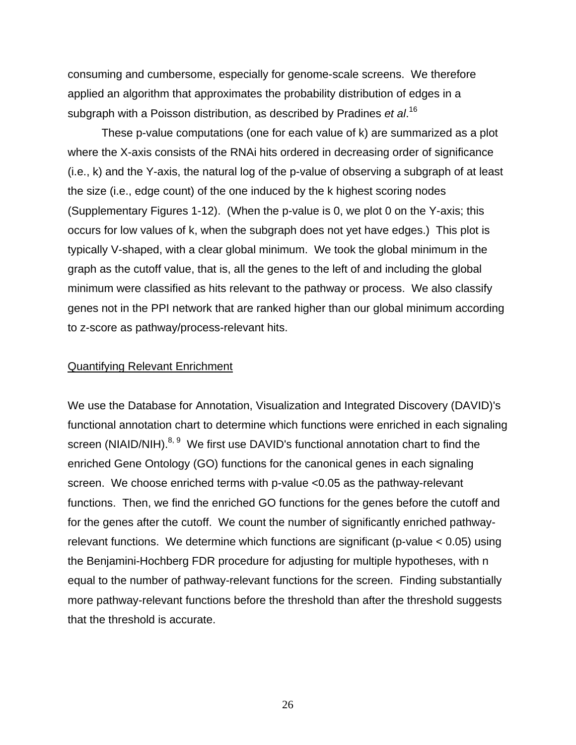consuming and cumbersome, especially for genome-scale screens. We therefore applied an algorithm that approximates the probability distribution of edges in a subgraph with a Poisson distribution, as described by Pradines *et al*. 16

These p-value computations (one for each value of k) are summarized as a plot where the X-axis consists of the RNAi hits ordered in decreasing order of significance (i.e., k) and the Y-axis, the natural log of the p-value of observing a subgraph of at least the size (i.e., edge count) of the one induced by the k highest scoring nodes (Supplementary Figures 1-12). (When the p-value is 0, we plot 0 on the Y-axis; this occurs for low values of k, when the subgraph does not yet have edges.) This plot is typically V-shaped, with a clear global minimum. We took the global minimum in the graph as the cutoff value, that is, all the genes to the left of and including the global minimum were classified as hits relevant to the pathway or process. We also classify genes not in the PPI network that are ranked higher than our global minimum according to z-score as pathway/process-relevant hits.

#### Quantifying Relevant Enrichment

We use the Database for Annotation, Visualization and Integrated Discovery (DAVID)'s functional annotation chart to determine which functions were enriched in each signaling screen (NIAID/NIH). $8, 9$  We first use DAVID's functional annotation chart to find the enriched Gene Ontology (GO) functions for the canonical genes in each signaling screen. We choose enriched terms with p-value <0.05 as the pathway-relevant functions. Then, we find the enriched GO functions for the genes before the cutoff and for the genes after the cutoff. We count the number of significantly enriched pathwayrelevant functions. We determine which functions are significant (p-value < 0.05) using the Benjamini-Hochberg FDR procedure for adjusting for multiple hypotheses, with n equal to the number of pathway-relevant functions for the screen. Finding substantially more pathway-relevant functions before the threshold than after the threshold suggests that the threshold is accurate.